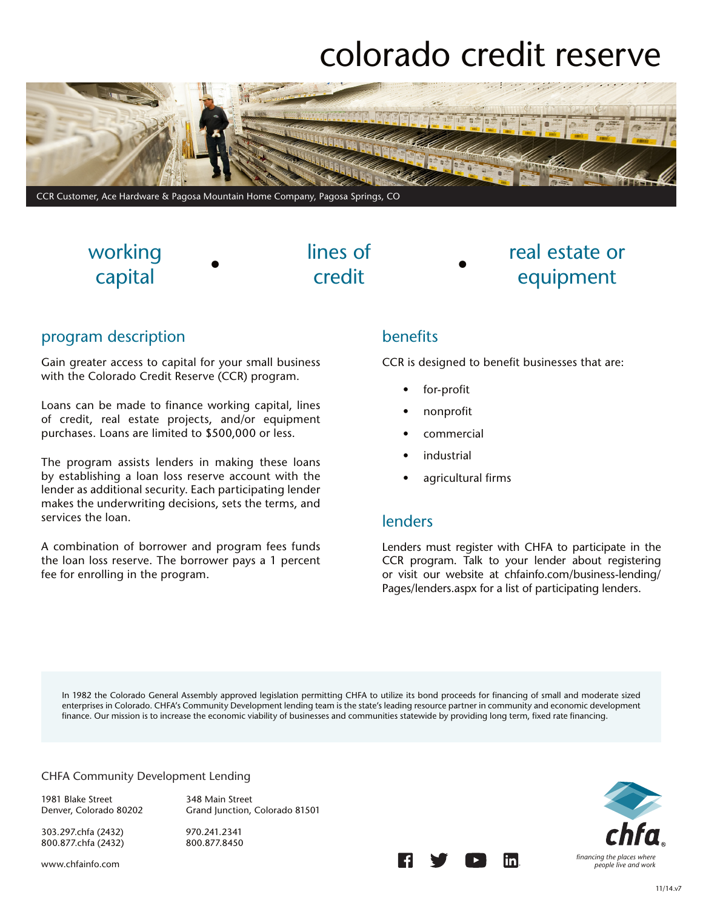# colorado credit reserve



CCR Customer, Ace Hardware & Pagosa Mountain Home Company, Pagosa Springs, CO

•

## working capital



• real estate or equipment

## program description

Gain greater access to capital for your small business with the Colorado Credit Reserve (CCR) program.

Loans can be made to finance working capital, lines of credit, real estate projects, and/or equipment purchases. Loans are limited to \$500,000 or less.

The program assists lenders in making these loans by establishing a loan loss reserve account with the lender as additional security. Each participating lender makes the underwriting decisions, sets the terms, and services the loan.

A combination of borrower and program fees funds the loan loss reserve. The borrower pays a 1 percent fee for enrolling in the program.

### benefits

CCR is designed to benefit businesses that are:

- for-profit
- nonprofit
- commercial
- **industrial**
- agricultural firms

#### lenders

Lenders must register with CHFA to participate in the CCR program. Talk to your lender about registering or visit our website at chfainfo.com/business-lending/ Pages/lenders.aspx for a list of participating lenders.

In 1982 the Colorado General Assembly approved legislation permitting CHFA to utilize its bond proceeds for financing of small and moderate sized enterprises in Colorado. CHFA's Community Development lending team is the state's leading resource partner in community and economic development finance. Our mission is to increase the economic viability of businesses and communities statewide by providing long term, fixed rate financing.

#### CHFA Community Development Lending

1981 Blake Street Denver, Colorado 80202

348 Main Street Grand Junction, Colorado 81501

303.297.chfa (2432) 800.877.chfa (2432) 970.241.2341 800.877.8450

www.chfainfo.com